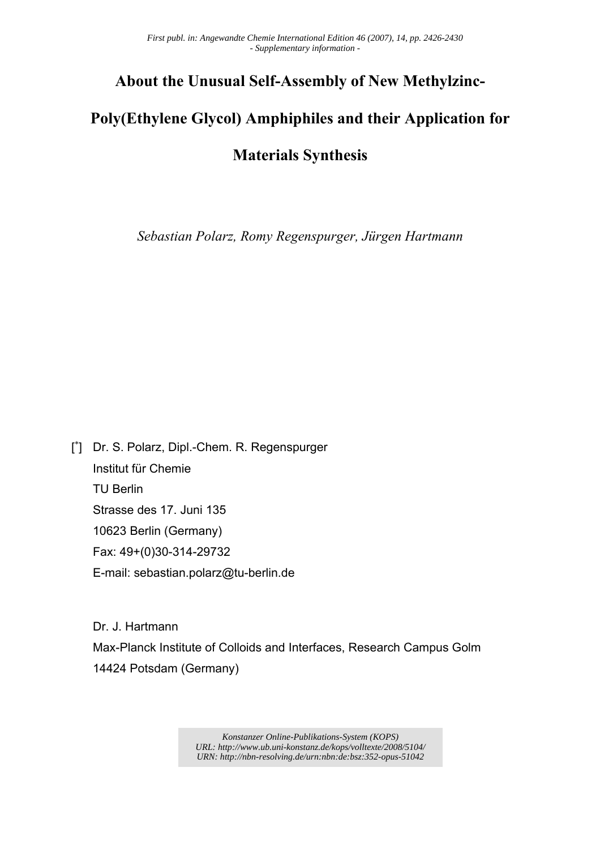## **About the Unusual Self-Assembly of New Methylzinc-**

# **Poly(Ethylene Glycol) Amphiphiles and their Application for**

### **Materials Synthesis**

*Sebastian Polarz, Romy Regenspurger, Jürgen Hartmann* 

[<sup>\*</sup>] Dr. S. Polarz, Dipl.-Chem. R. Regenspurger Institut für Chemie TU Berlin Strasse des 17. Juni 135 10623 Berlin (Germany) Fax: 49+(0)30-314-29732 E-mail: sebastian.polarz@tu-berlin.de

 Dr. J. Hartmann Max-Planck Institute of Colloids and Interfaces, Research Campus Golm 14424 Potsdam (Germany)

> *Konstanzer Online-Publikations-System (KOPS) URL:<http://www.ub.uni-konstanz.de/kops/volltexte/2008/5104/> URN:<http://nbn-resolving.de/urn:nbn:de:bsz:352-opus-51042>*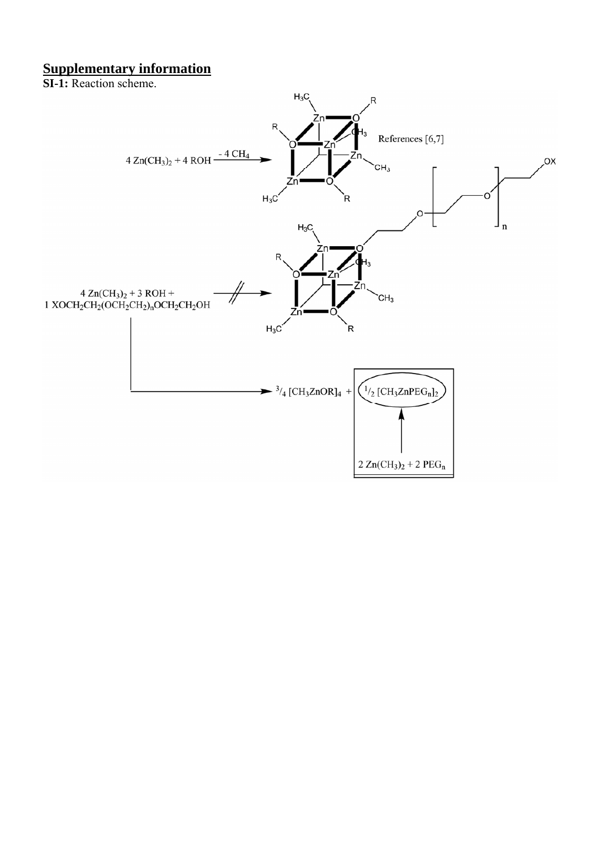#### **Supplementary information**

**SI-1:** Reaction scheme.

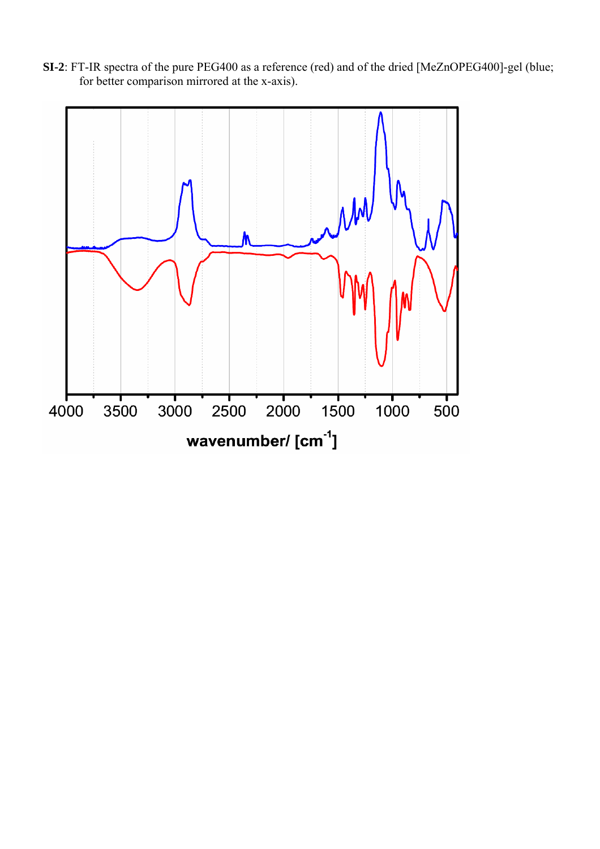**SI-2**: FT-IR spectra of the pure PEG400 as a reference (red) and of the dried [MeZnOPEG400]-gel (blue; for better comparison mirrored at the x-axis).

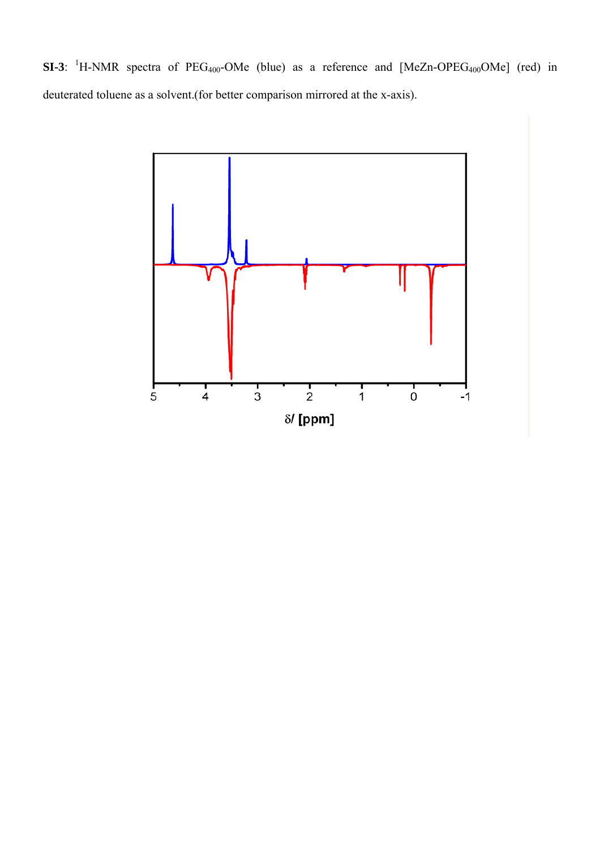**SI-3**: <sup>1</sup>H-NMR spectra of  $PEG_{400}$ -OMe (blue) as a reference and  $[MeZn-OPEG_{400}OMe]$  (red) in deuterated toluene as a solvent.(for better comparison mirrored at the x-axis).

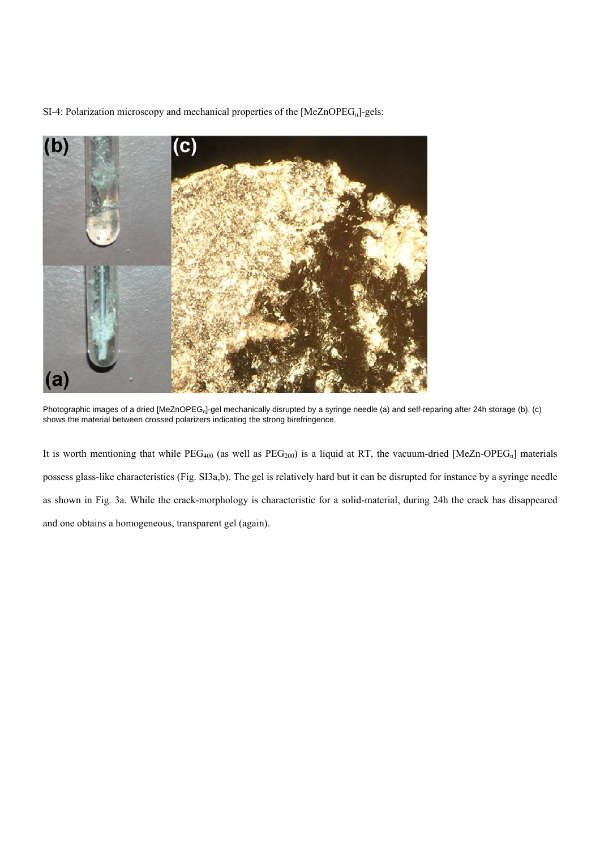SI-4: Polarization microscopy and mechanical properties of the  $[MeZnOPEG_n]$ -gels:



Photographic images of a dried [MeZnOPEG<sub>n</sub>]-gel mechanically disrupted by a syringe needle (a) and self-reparing after 24h storage (b). (c) shows the material between crossed polarizers indicating the strong birefringence.

It is worth mentioning that while  $PEG_{400}$  (as well as  $PEG_{200}$ ) is a liquid at RT, the vacuum-dried [MeZn-OPEG<sub>n</sub>] materials possess glass-like characteristics (Fig. SI3a,b). The gel is relatively hard but it can be disrupted for instance by a syringe needle as shown in Fig. 3a. While the crack-morphology is characteristic for a solid-material, during 24h the crack has disappeared and one obtains a homogeneous, transparent gel (again).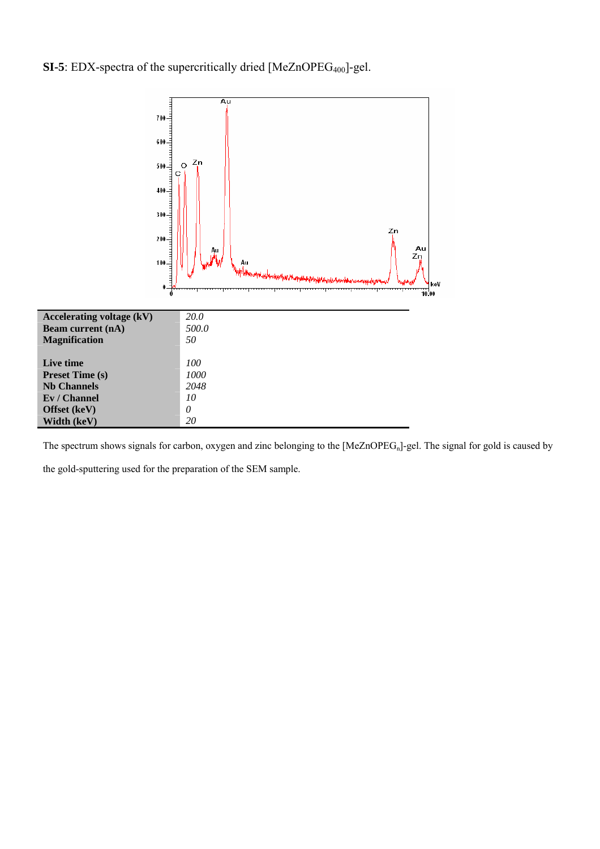### **SI-5**: EDX-spectra of the supercritically dried [MeZnOPEG<sub>400</sub>]-gel.



The spectrum shows signals for carbon, oxygen and zinc belonging to the [MeZnOPEGn]-gel. The signal for gold is caused by

the gold-sputtering used for the preparation of the SEM sample.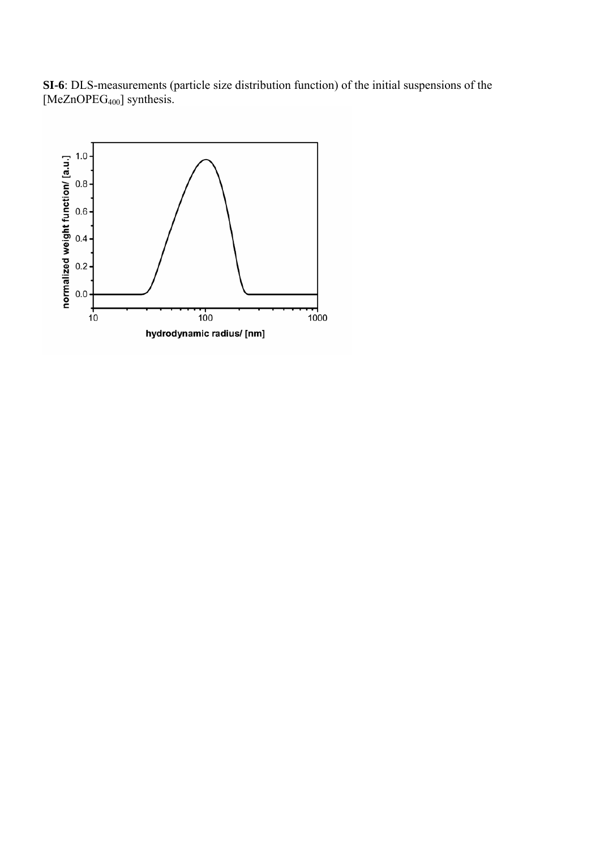**SI-6**: DLS-measurements (particle size distribution function) of the initial suspensions of the [MeZnOPEG<sub>400</sub>] synthesis.

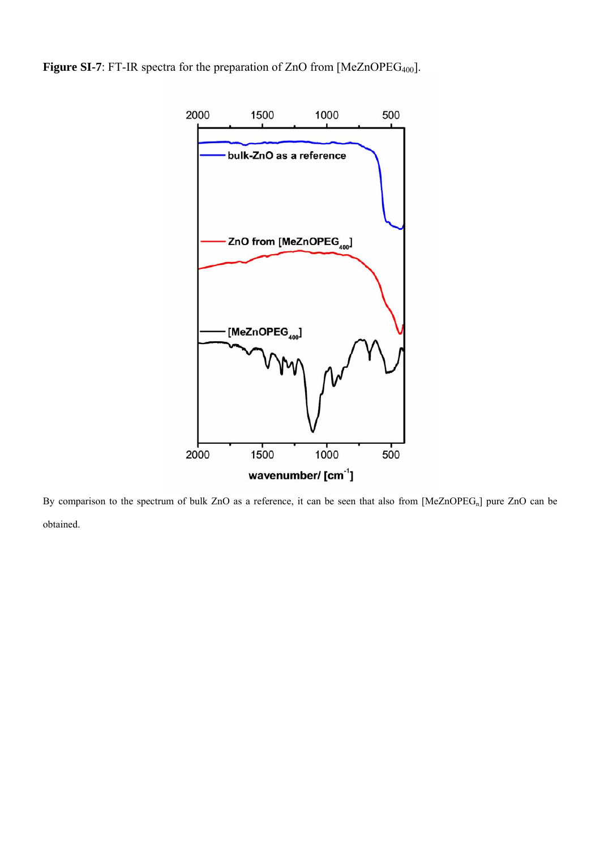Figure SI-7: FT-IR spectra for the preparation of ZnO from [MeZnOPEG<sub>400</sub>].



By comparison to the spectrum of bulk ZnO as a reference, it can be seen that also from [MeZnOPEG<sub>n</sub>] pure ZnO can be obtained.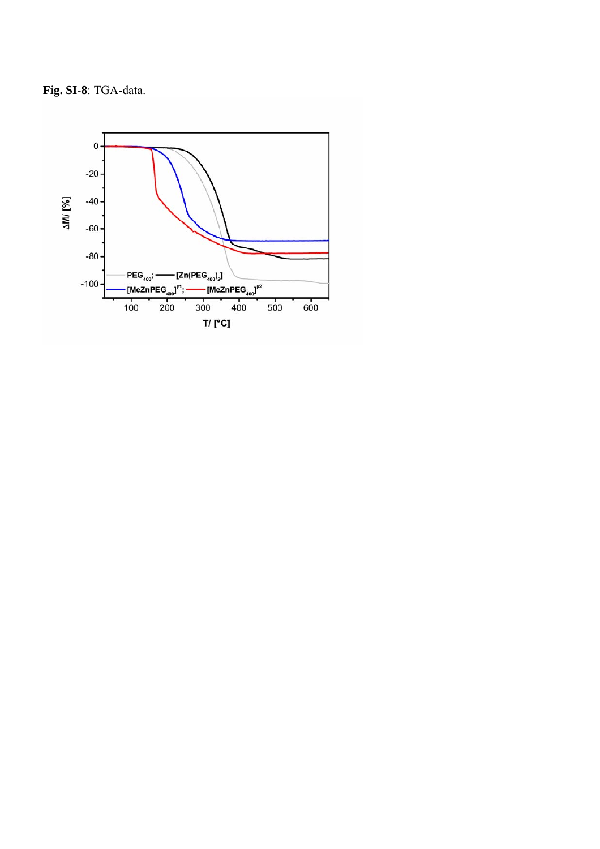**Fig. SI-8**: TGA-data.

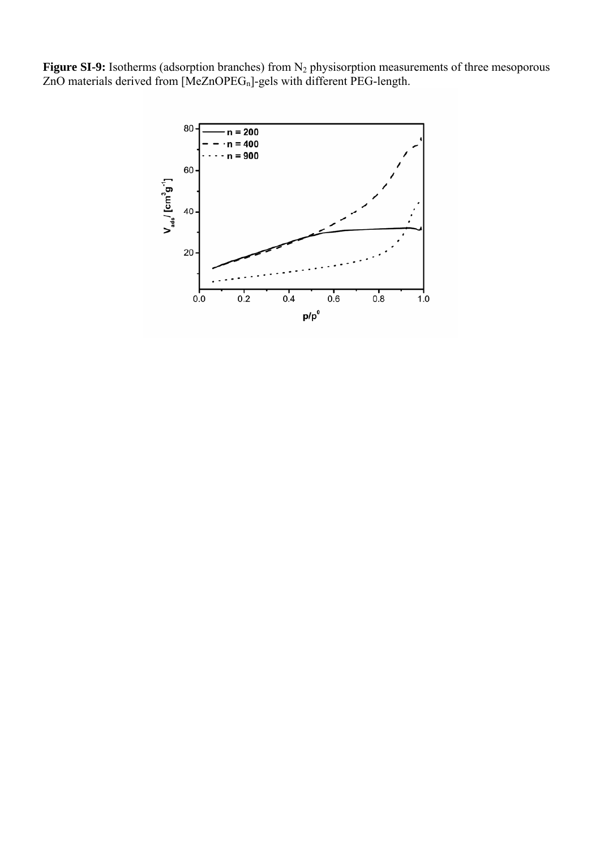**Figure SI-9:** Isotherms (adsorption branches) from N<sub>2</sub> physisorption measurements of three mesoporous ZnO materials derived from [MeZnOPEG<sub>n</sub>]-gels with different PEG-length.